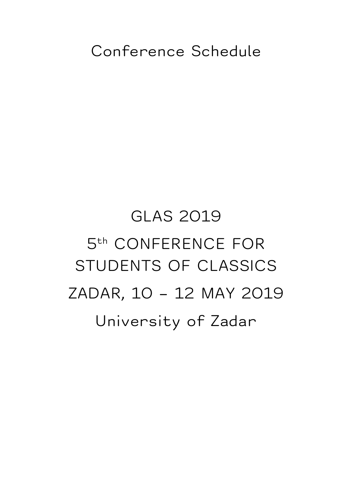# Conference Schedule

# GLAS 2019 5 th CONFERENCE FOR STUDENTS OF CLASSICS ZADAR, 10 – 12 MAY 2019 University of Zadar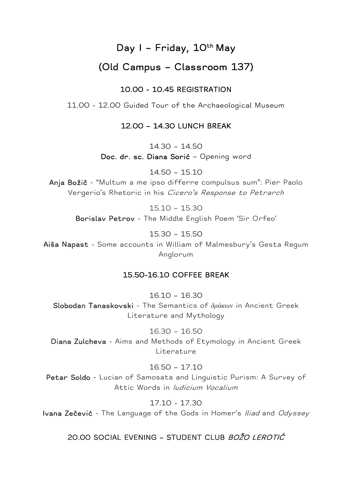# Day I - Friday, 10<sup>th</sup> May

# (Old Campus – Classroom 137)

### 10.00 - 10.45 REGISTRATION

11.00 - 12.00 Guided Tour of the Archaeological Museum

#### 12.00 – 14.30 LUNCH BREAK

14.30 – 14.50

Doc. dr. sc. Diana Sorić – Opening word

14.50 – 15.10

Anja Božič - "Multum a me ipso differre compulsus sum": Pier Paolo Vergerio's Rhetoric in his Cicero's Response to Petrarch

> 15.10 – 15.30 Borislav Petrov - The Middle English Poem 'Sir Orfeo'

> > 15.30 – 15.50

Aiša Napast - Some accounts in William of Malmesbury's Gesta Regum Anglorum

#### 15.50-16.10 COFFEE BREAK

16.10 – 16.30

Slobodan Tanaskovski - The Semantics of *δράκων* in Ancient Greek Literature and Mythology

16.30 – 16.50 Diana Zulcheva - Aims and Methods of Etymology in Ancient Greek Literature

16.50 – 17.10 Petar Soldo - Lucian of Samosata and Linguistic Purism: A Survey of Attic Words in Iudicium Vocalium

17.10 - 17.30 Ivana Zečević - The Language of the Gods in Homer's *Iliad* and Odyssey

# 20.00 SOCIAL EVENING – STUDENT CLUB BOŽO LEROTIĆ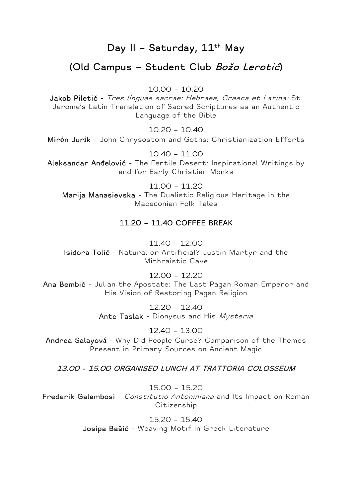Day II - Saturday, 11<sup>th</sup> May

# (Old Campus – Student Club Božo Lerotić)

10.00 – 10.20

Jakob Piletič - Tres linguae sacrae: Hebraea, Graeca et Latina: St. Jerome's Latin Translation of Sacred Scriptures as an Authentic Language of the Bible

10.20 – 10.40

Mir**ó**n Jur**í**k - John Chrysostom and Goths: Christianization Efforts

10.40 – 11.00 Aleksandar Anđelović - The Fertile Desert: Inspirational Writings by and for Early Christian Monks

11.00 – 11.20 Marija Manasievska - The Dualistic Religious Heritage in the Macedonian Folk Tales

# 11.20 – 11.40 COFFEE BREAK

11.40 – 12.00 Isidora Tolić - Natural or Artificial? Justin Martyr and the Mithraistic Cave

12.00 – 12.20

Ana Bembič - Julian the Apostate: The Last Pagan Roman Emperor and His Vision of Restoring Pagan Religion

> 12.20 – 12.40 Ante Taslak - Dionysus and His Mysteria

12.40 – 13.00 Andrea Salayov**á** - Why Did People Curse? Comparison of the Themes Present in Primary Sources on Ancient Magic

#### 13.00 - 15.00 ORGANISED LUNCH AT TRATTORIA COLOSSEUM

15.00 – 15.20 Frederik Galambosi - Constitutio Antoniniana and Its Impact on Roman Citizenship

> 15.20 – 15.40 Josipa Bašić - Weaving Motif in Greek Literature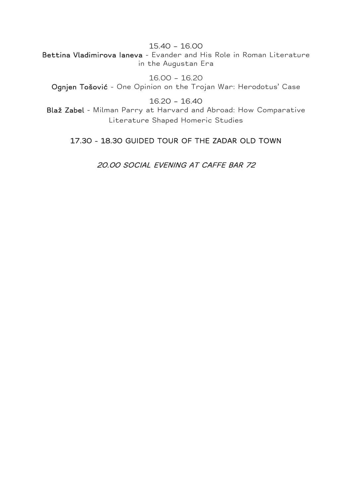15.40 – 16.00 Bettina Vladimirova laneva - Evander and His Role in Roman Literature in the Augustan Era

16.00 – 16.20 Ognjen Tošović - One Opinion on the Trojan War: Herodotus' Case

16.20 – 16.40

Blaž Zabel - Milman Parry at Harvard and Abroad: How Comparative Literature Shaped Homeric Studies

17.30 - 18.30 GUIDED TOUR OF THE ZADAR OLD TOWN

20.00 SOCIAL EVENING AT CAFFE BAR 72